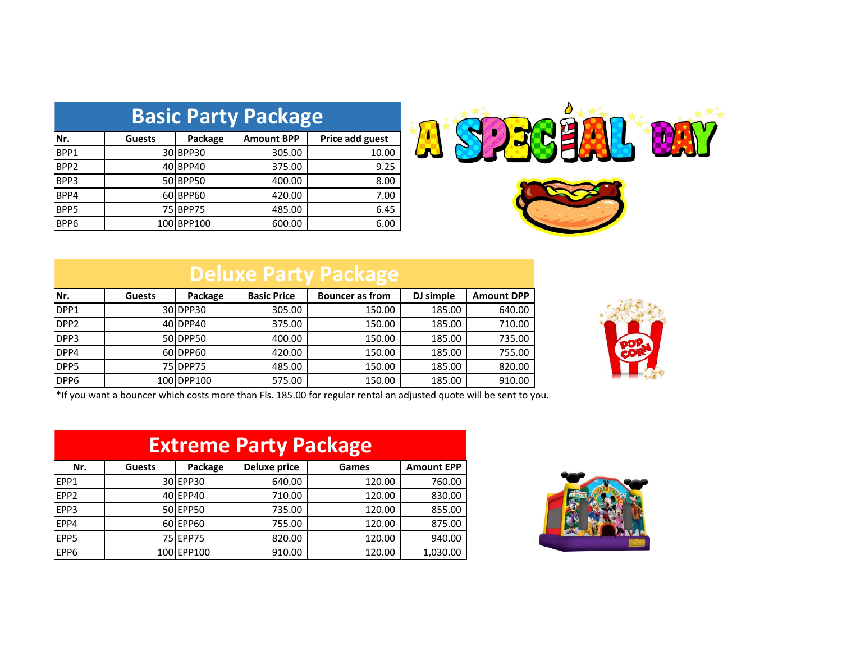| <b>Basic Party Package</b> |               |               |                   |                 |  |
|----------------------------|---------------|---------------|-------------------|-----------------|--|
| Nr.                        | <b>Guests</b> | Package       | <b>Amount BPP</b> | Price add guest |  |
| BPP1                       | 30I           | <b>BPP30</b>  | 305.00            | 10.00           |  |
| BPP <sub>2</sub>           | 40            | BPP40         | 375.00            | 9.25            |  |
| BPP3                       | 50I           | <b>BPP50</b>  | 400.00            | 8.00            |  |
| BPP4                       | 60 I          | BPP60         | 420.00            | 7.00            |  |
| BPP5                       | 75I           | BPP75         | 485.00            | 6.45            |  |
| BPP6                       | 100l          | <b>BPP100</b> | 600.00            | 6.00            |  |





## **Deluxe Party Package**

| Nr.              | <b>Guests</b> | Package    | <b>Basic Price</b> | <b>Bouncer</b> as from | DJ simple | <b>Amount DPP</b> |
|------------------|---------------|------------|--------------------|------------------------|-----------|-------------------|
| DPP1             |               | 30 DPP30   | 305.00             | 150.00                 | 185.00    | 640.00            |
| DPP <sub>2</sub> |               | 40IDPP40   | 375.00             | 150.00                 | 185.00    | 710.00            |
| DPP3             |               | 50 DPP50   | 400.00             | 150.00                 | 185.00    | 735.00            |
| DPP4             |               | 60 DPP60   | 420.00             | 150.00                 | 185.00    | 755.00            |
| DPP <sub>5</sub> |               | 75 DPP 75  | 485.00             | 150.00                 | 185.00    | 820.00            |
| DPP <sub>6</sub> |               | 100 DPP100 | 575.00             | 150.00                 | 185.00    | 910.00            |



\*If you want a bouncer which costs more than Fls. 185.00 for regular rental an adjusted quote will be sent to you.

| <b>Extreme Party Package</b> |               |                 |                     |        |                   |
|------------------------------|---------------|-----------------|---------------------|--------|-------------------|
| Nr.                          | <b>Guests</b> | Package         | <b>Deluxe price</b> | Games  | <b>Amount EPP</b> |
| EPP1                         |               | 30 EPP30        | 640.00              | 120.00 | 760.00            |
| EPP2                         |               | 40 EPP40        | 710.00              | 120.00 | 830.00            |
| EPP3                         |               | 50 EPP50        | 735.00              | 120.00 | 855.00            |
| EPP4                         |               | 60 EPP60        | 755.00              | 120.00 | 875.00            |
| EPP5                         |               | <b>75 EPP75</b> | 820.00              | 120.00 | 940.00            |
| EPP6                         |               | 100 EPP100      | 910.00              | 120.00 | 1,030.00          |